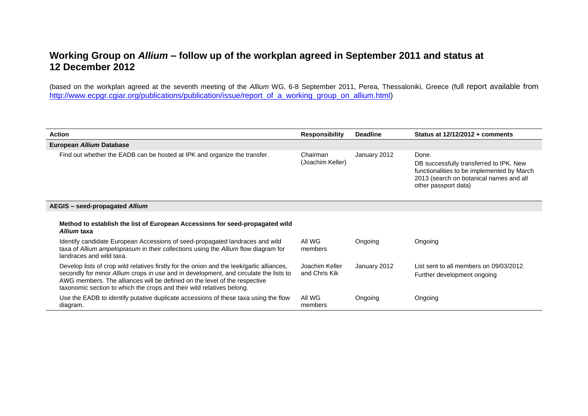## **Working Group on** *Allium* **– follow up of the workplan agreed in September 2011 and status at 12 December 2012**

(based on the workplan agreed at the seventh meeting of the *Allium* WG, 6-8 September 2011, Perea, Thessaloniki, Greece (full report available from [http://www.ecpgr.cgiar.org/publications/publication/issue/report\\_of\\_a\\_working\\_group\\_on\\_allium.html\)](http://www.ecpgr.cgiar.org/publications/publication/issue/report_of_a_working_group_on_allium.html)

| <b>Action</b>                                                                                                                                                                                                                                                                                                                            | <b>Responsibility</b>           | <b>Deadline</b> | Status at $12/12/2012 +$ comments                                                                                                                                 |
|------------------------------------------------------------------------------------------------------------------------------------------------------------------------------------------------------------------------------------------------------------------------------------------------------------------------------------------|---------------------------------|-----------------|-------------------------------------------------------------------------------------------------------------------------------------------------------------------|
| European Allium Database                                                                                                                                                                                                                                                                                                                 |                                 |                 |                                                                                                                                                                   |
| Find out whether the EADB can be hosted at IPK and organize the transfer.                                                                                                                                                                                                                                                                | Chairman<br>(Joachim Keller)    | January 2012    | Done.<br>DB successfully transferred to IPK. New<br>functionalities to be implemented by March<br>2013 (search on botanical names and all<br>other passport data) |
| AEGIS – seed-propagated Allium                                                                                                                                                                                                                                                                                                           |                                 |                 |                                                                                                                                                                   |
| Method to establish the list of European Accessions for seed-propagated wild<br>Allium taxa                                                                                                                                                                                                                                              |                                 |                 |                                                                                                                                                                   |
| Identify candidate European Accessions of seed-propagated landraces and wild<br>taxa of Allium ampeloprasum in their collections using the Allium flow diagram for<br>landraces and wild taxa.                                                                                                                                           | All WG<br>members               | Ongoing         | Ongoing                                                                                                                                                           |
| Develop lists of crop wild relatives firstly for the onion and the leek/garlic alliances,<br>secondly for minor Allium crops in use and in development, and circulate the lists to<br>AWG members. The alliances will be defined on the level of the respective<br>taxonomic section to which the crops and their wild relatives belong. | Joachim Keller<br>and Chris Kik | January 2012    | List sent to all members on 09/03/2012.<br>Further development ongoing                                                                                            |
| Use the EADB to identify putative duplicate accessions of these taxa using the flow<br>diagram.                                                                                                                                                                                                                                          | All WG<br>members               | Ongoing         | Ongoing                                                                                                                                                           |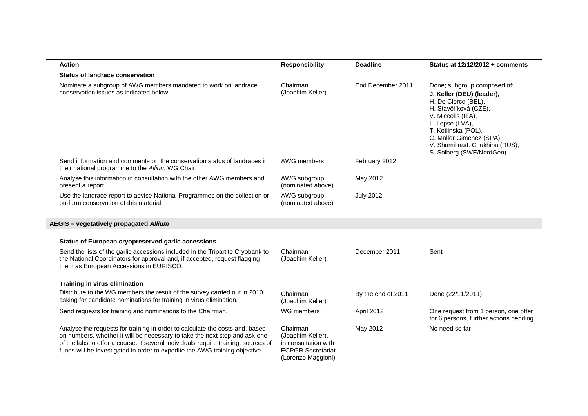| <b>Action</b>                                                                                                                                                                                                                                                                                                                   | <b>Responsibility</b>                                                                                   | <b>Deadline</b>    | Status at 12/12/2012 + comments                                                                                                                                                                                                                                    |
|---------------------------------------------------------------------------------------------------------------------------------------------------------------------------------------------------------------------------------------------------------------------------------------------------------------------------------|---------------------------------------------------------------------------------------------------------|--------------------|--------------------------------------------------------------------------------------------------------------------------------------------------------------------------------------------------------------------------------------------------------------------|
| <b>Status of landrace conservation</b>                                                                                                                                                                                                                                                                                          |                                                                                                         |                    |                                                                                                                                                                                                                                                                    |
| Nominate a subgroup of AWG members mandated to work on landrace<br>conservation issues as indicated below.                                                                                                                                                                                                                      | Chairman<br>(Joachim Keller)                                                                            | End December 2011  | Done; subgroup composed of:<br>J. Keller (DEU) (leader),<br>H. De Clercq (BEL),<br>H. Stavělíková (CZE),<br>V. Miccolis (ITA),<br>L. Lepse (LVA),<br>T. Kotlinska (POL),<br>C. Mallor Gimenez (SPA)<br>V. Shumilina/I. Chukhina (RUS),<br>S. Solberg (SWE/NordGen) |
| Send information and comments on the conservation status of landraces in<br>their national programme to the Allium WG Chair.                                                                                                                                                                                                    | AWG members                                                                                             | February 2012      |                                                                                                                                                                                                                                                                    |
| Analyse this information in consultation with the other AWG members and<br>present a report.                                                                                                                                                                                                                                    | AWG subgroup<br>(nominated above)                                                                       | May 2012           |                                                                                                                                                                                                                                                                    |
| Use the landrace report to advise National Programmes on the collection or<br>on-farm conservation of this material.                                                                                                                                                                                                            | AWG subgroup<br>(nominated above)                                                                       | <b>July 2012</b>   |                                                                                                                                                                                                                                                                    |
| AEGIS - vegetatively propagated Allium                                                                                                                                                                                                                                                                                          |                                                                                                         |                    |                                                                                                                                                                                                                                                                    |
| Status of European cryopreserved garlic accessions                                                                                                                                                                                                                                                                              |                                                                                                         |                    |                                                                                                                                                                                                                                                                    |
| Send the lists of the garlic accessions included in the Tripartite Cryobank to<br>the National Coordinators for approval and, if accepted, request flagging<br>them as European Accessions in EURISCO.                                                                                                                          | Chairman<br>(Joachim Keller)                                                                            | December 2011      | Sent                                                                                                                                                                                                                                                               |
| Training in virus elimination                                                                                                                                                                                                                                                                                                   |                                                                                                         |                    |                                                                                                                                                                                                                                                                    |
| Distribute to the WG members the result of the survey carried out in 2010<br>asking for candidate nominations for training in virus elimination.                                                                                                                                                                                | Chairman<br>(Joachim Keller)                                                                            | By the end of 2011 | Done (22/11/2011)                                                                                                                                                                                                                                                  |
| Send requests for training and nominations to the Chairman.                                                                                                                                                                                                                                                                     | WG members                                                                                              | April 2012         | One request from 1 person, one offer<br>for 6 persons, further actions pending                                                                                                                                                                                     |
| Analyse the requests for training in order to calculate the costs and, based<br>on numbers, whether it will be necessary to take the next step and ask one<br>of the labs to offer a course. If several individuals require training, sources of<br>funds will be investigated in order to expedite the AWG training objective. | Chairman<br>(Joachim Keller),<br>in consultation with<br><b>ECPGR Secretariat</b><br>(Lorenzo Maggioni) | May 2012           | No need so far                                                                                                                                                                                                                                                     |